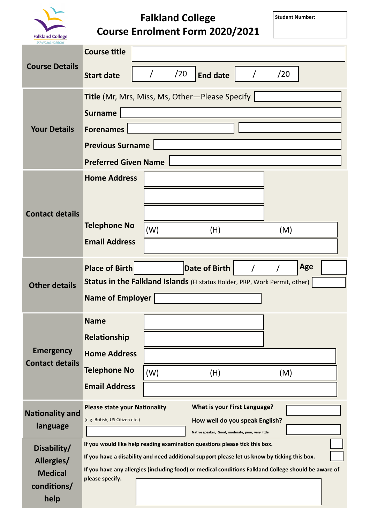

## **Falkland College Course Enrolment Form 2020/2021**

**Student Number:**

| <b>Course Details</b>                      | <b>Course title</b>                                                                                                             |     |                                     |  |     |     |  |  |
|--------------------------------------------|---------------------------------------------------------------------------------------------------------------------------------|-----|-------------------------------------|--|-----|-----|--|--|
|                                            | <b>Start date</b>                                                                                                               | /20 | <b>End date</b>                     |  | /20 |     |  |  |
|                                            | <b>Title</b> (Mr, Mrs, Miss, Ms, Other-Please Specify                                                                           |     |                                     |  |     |     |  |  |
| <b>Your Details</b>                        | <b>Surname</b>                                                                                                                  |     |                                     |  |     |     |  |  |
|                                            | <b>Forenames</b>                                                                                                                |     |                                     |  |     |     |  |  |
|                                            | <b>Previous Surname</b>                                                                                                         |     |                                     |  |     |     |  |  |
|                                            | <b>Preferred Given Name</b>                                                                                                     |     |                                     |  |     |     |  |  |
|                                            | <b>Home Address</b>                                                                                                             |     |                                     |  |     |     |  |  |
|                                            |                                                                                                                                 |     |                                     |  |     |     |  |  |
| <b>Contact details</b>                     |                                                                                                                                 |     |                                     |  |     |     |  |  |
|                                            | <b>Telephone No</b>                                                                                                             | (W) | (H)                                 |  | (M) |     |  |  |
|                                            | <b>Email Address</b>                                                                                                            |     |                                     |  |     |     |  |  |
| <b>Other details</b>                       | <b>Place of Birth</b>                                                                                                           |     | Date of Birth                       |  |     | Age |  |  |
|                                            | Status in the Falkland Islands (FI status Holder, PRP, Work Permit, other)                                                      |     |                                     |  |     |     |  |  |
|                                            | <b>Name of Employer</b>                                                                                                         |     |                                     |  |     |     |  |  |
|                                            | <b>Name</b>                                                                                                                     |     |                                     |  |     |     |  |  |
|                                            | Relationship                                                                                                                    |     |                                     |  |     |     |  |  |
| <b>Emergency</b><br><b>Contact details</b> | <b>Home Address</b>                                                                                                             |     |                                     |  |     |     |  |  |
|                                            | <b>Telephone No</b>                                                                                                             | (W) | (H)                                 |  | (M) |     |  |  |
|                                            | <b>Email Address</b>                                                                                                            |     |                                     |  |     |     |  |  |
| <b>Nationality and</b><br>language         | <b>Please state your Nationality</b>                                                                                            |     | <b>What is your First Language?</b> |  |     |     |  |  |
|                                            | (e.g. British, US Citizen etc.)                                                                                                 |     | How well do you speak English?      |  |     |     |  |  |
|                                            | Native speaker, Good, moderate, poor, very little<br>If you would like help reading examination questions please tick this box. |     |                                     |  |     |     |  |  |
| Disability/<br>Allergies/                  | If you have a disability and need additional support please let us know by ticking this box.                                    |     |                                     |  |     |     |  |  |
| <b>Medical</b>                             | If you have any allergies (including food) or medical conditions Falkland College should be aware of<br>please specify.         |     |                                     |  |     |     |  |  |
| conditions/                                |                                                                                                                                 |     |                                     |  |     |     |  |  |
| help                                       |                                                                                                                                 |     |                                     |  |     |     |  |  |